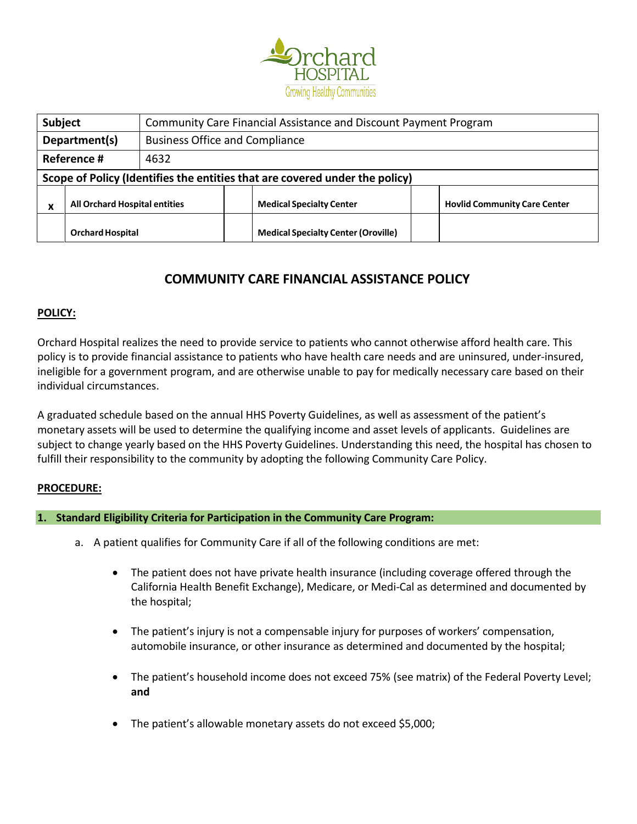

| Subject                                              |                                                        | Community Care Financial Assistance and Discount Payment Program |  |                                                                             |  |                                     |
|------------------------------------------------------|--------------------------------------------------------|------------------------------------------------------------------|--|-----------------------------------------------------------------------------|--|-------------------------------------|
|                                                      | Department(s)<br><b>Business Office and Compliance</b> |                                                                  |  |                                                                             |  |                                     |
|                                                      | Reference #                                            | 4632                                                             |  |                                                                             |  |                                     |
|                                                      |                                                        |                                                                  |  | Scope of Policy (Identifies the entities that are covered under the policy) |  |                                     |
| <b>All Orchard Hospital entities</b><br>$\mathbf{v}$ |                                                        |                                                                  |  | <b>Medical Specialty Center</b>                                             |  | <b>Hovlid Community Care Center</b> |
|                                                      | <b>Orchard Hospital</b>                                |                                                                  |  | <b>Medical Specialty Center (Oroville)</b>                                  |  |                                     |

# **COMMUNITY CARE FINANCIAL ASSISTANCE POLICY**

# **POLICY:**

Orchard Hospital realizes the need to provide service to patients who cannot otherwise afford health care. This policy is to provide financial assistance to patients who have health care needs and are uninsured, under-insured, ineligible for a government program, and are otherwise unable to pay for medically necessary care based on their individual circumstances.

A graduated schedule based on the annual HHS Poverty Guidelines, as well as assessment of the patient's monetary assets will be used to determine the qualifying income and asset levels of applicants. Guidelines are subject to change yearly based on the HHS Poverty Guidelines. Understanding this need, the hospital has chosen to fulfill their responsibility to the community by adopting the following Community Care Policy.

### **PROCEDURE:**

### **1. Standard Eligibility Criteria for Participation in the Community Care Program:**

- a. A patient qualifies for Community Care if all of the following conditions are met:
	- The patient does not have private health insurance (including coverage offered through the California Health Benefit Exchange), Medicare, or Medi-Cal as determined and documented by the hospital;
	- The patient's injury is not a compensable injury for purposes of workers' compensation, automobile insurance, or other insurance as determined and documented by the hospital;
	- The patient's household income does not exceed 75% (see matrix) of the Federal Poverty Level; **and**
	- The patient's allowable monetary assets do not exceed \$5,000;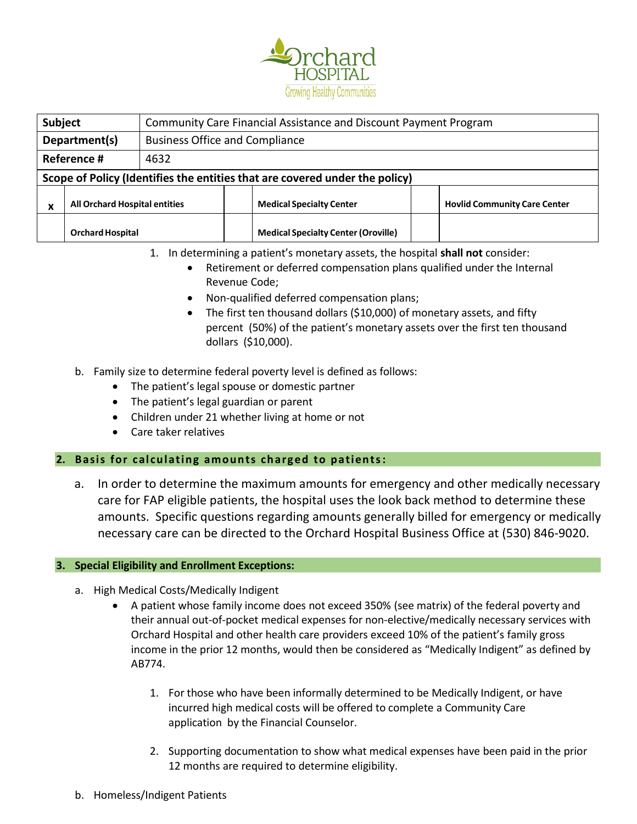

| Subject                                   |                                                        | Community Care Financial Assistance and Discount Payment Program |  |                                                                             |  |                                     |
|-------------------------------------------|--------------------------------------------------------|------------------------------------------------------------------|--|-----------------------------------------------------------------------------|--|-------------------------------------|
|                                           | Department(s)<br><b>Business Office and Compliance</b> |                                                                  |  |                                                                             |  |                                     |
|                                           | Reference #<br>4632                                    |                                                                  |  |                                                                             |  |                                     |
|                                           |                                                        |                                                                  |  | Scope of Policy (Identifies the entities that are covered under the policy) |  |                                     |
| <b>All Orchard Hospital entities</b><br>v |                                                        |                                                                  |  | <b>Medical Specialty Center</b>                                             |  | <b>Hovlid Community Care Center</b> |
|                                           | <b>Orchard Hospital</b>                                |                                                                  |  | <b>Medical Specialty Center (Oroville)</b>                                  |  |                                     |

1. In determining a patient's monetary assets, the hospital **shall not** consider:

- Retirement or deferred compensation plans qualified under the Internal Revenue Code;
- Non-qualified deferred compensation plans;
- The first ten thousand dollars (\$10,000) of monetary assets, and fifty percent (50%) of the patient's monetary assets over the first ten thousand dollars (\$10,000).
- b. Family size to determine federal poverty level is defined as follows:
	- The patient's legal spouse or domestic partner
	- The patient's legal guardian or parent
	- Children under 21 whether living at home or not
	- Care taker relatives

# 2. Basis for calculating amounts charged to patients:

a. In order to determine the maximum amounts for emergency and other medically necessary care for FAP eligible patients, the hospital uses the look back method to determine these amounts. Specific questions regarding amounts generally billed for emergency or medically necessary care can be directed to the Orchard Hospital Business Office at (530) 846-9020.

# **3. Special Eligibility and Enrollment Exceptions:**

- a. High Medical Costs/Medically Indigent
	- A patient whose family income does not exceed 350% (see matrix) of the federal poverty and their annual out-of-pocket medical expenses for non-elective/medically necessary services with Orchard Hospital and other health care providers exceed 10% of the patient's family gross income in the prior 12 months, would then be considered as "Medically Indigent" as defined by AB774.
		- 1. For those who have been informally determined to be Medically Indigent, or have incurred high medical costs will be offered to complete a Community Care application by the Financial Counselor.
		- 2. Supporting documentation to show what medical expenses have been paid in the prior 12 months are required to determine eligibility.
- b. Homeless/Indigent Patients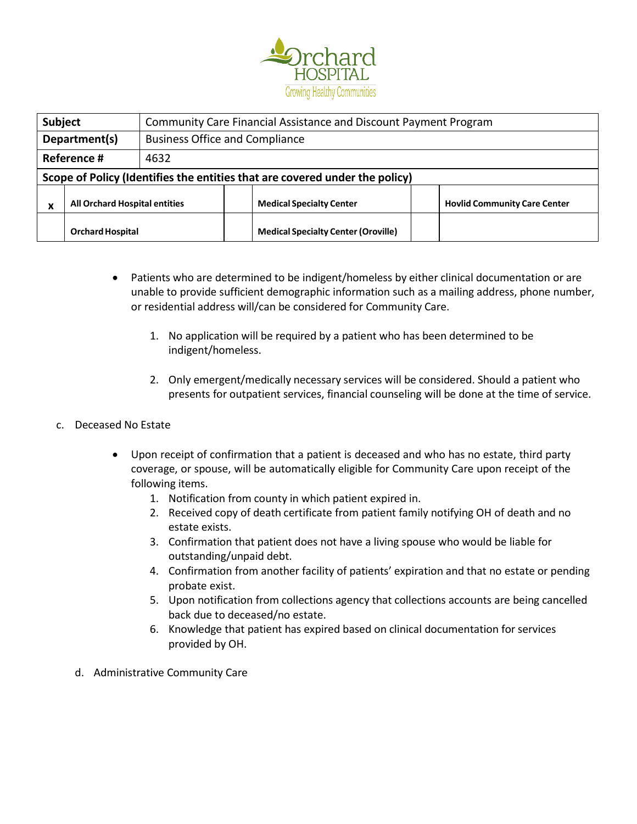

| <b>Subject</b>                                         |                         | Community Care Financial Assistance and Discount Payment Program |  |                                                                             |  |                                     |
|--------------------------------------------------------|-------------------------|------------------------------------------------------------------|--|-----------------------------------------------------------------------------|--|-------------------------------------|
| <b>Business Office and Compliance</b><br>Department(s) |                         |                                                                  |  |                                                                             |  |                                     |
|                                                        | Reference #<br>4632     |                                                                  |  |                                                                             |  |                                     |
|                                                        |                         |                                                                  |  | Scope of Policy (Identifies the entities that are covered under the policy) |  |                                     |
| <b>All Orchard Hospital entities</b><br>v              |                         |                                                                  |  | <b>Medical Specialty Center</b>                                             |  | <b>Hovlid Community Care Center</b> |
|                                                        | <b>Orchard Hospital</b> |                                                                  |  | <b>Medical Specialty Center (Oroville)</b>                                  |  |                                     |

- Patients who are determined to be indigent/homeless by either clinical documentation or are unable to provide sufficient demographic information such as a mailing address, phone number, or residential address will/can be considered for Community Care.
	- 1. No application will be required by a patient who has been determined to be indigent/homeless.
	- 2. Only emergent/medically necessary services will be considered. Should a patient who presents for outpatient services, financial counseling will be done at the time of service.
- c. Deceased No Estate
	- Upon receipt of confirmation that a patient is deceased and who has no estate, third party coverage, or spouse, will be automatically eligible for Community Care upon receipt of the following items.
		- 1. Notification from county in which patient expired in.
		- 2. Received copy of death certificate from patient family notifying OH of death and no estate exists.
		- 3. Confirmation that patient does not have a living spouse who would be liable for outstanding/unpaid debt.
		- 4. Confirmation from another facility of patients' expiration and that no estate or pending probate exist.
		- 5. Upon notification from collections agency that collections accounts are being cancelled back due to deceased/no estate.
		- 6. Knowledge that patient has expired based on clinical documentation for services provided by OH.
	- d. Administrative Community Care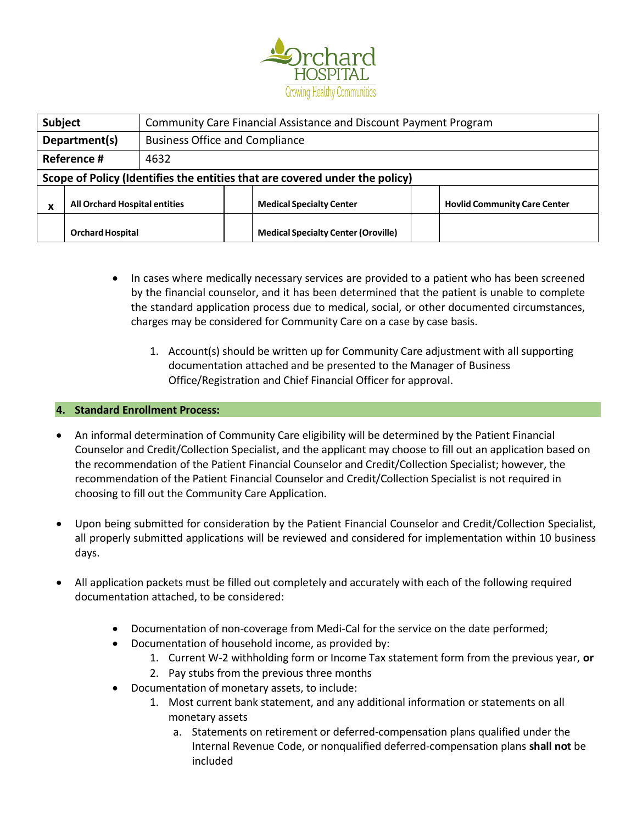

|                                                        | <b>Subject</b><br>Community Care Financial Assistance and Discount Payment Program |  |  |                                                                             |  |                                     |
|--------------------------------------------------------|------------------------------------------------------------------------------------|--|--|-----------------------------------------------------------------------------|--|-------------------------------------|
| <b>Business Office and Compliance</b><br>Department(s) |                                                                                    |  |  |                                                                             |  |                                     |
|                                                        | Reference #<br>4632                                                                |  |  |                                                                             |  |                                     |
|                                                        |                                                                                    |  |  | Scope of Policy (Identifies the entities that are covered under the policy) |  |                                     |
| <b>All Orchard Hospital entities</b><br>v              |                                                                                    |  |  | <b>Medical Specialty Center</b>                                             |  | <b>Hovlid Community Care Center</b> |
|                                                        | <b>Orchard Hospital</b>                                                            |  |  | <b>Medical Specialty Center (Oroville)</b>                                  |  |                                     |

- In cases where medically necessary services are provided to a patient who has been screened by the financial counselor, and it has been determined that the patient is unable to complete the standard application process due to medical, social, or other documented circumstances, charges may be considered for Community Care on a case by case basis.
	- 1. Account(s) should be written up for Community Care adjustment with all supporting documentation attached and be presented to the Manager of Business Office/Registration and Chief Financial Officer for approval.

### **4. Standard Enrollment Process:**

- An informal determination of Community Care eligibility will be determined by the Patient Financial Counselor and Credit/Collection Specialist, and the applicant may choose to fill out an application based on the recommendation of the Patient Financial Counselor and Credit/Collection Specialist; however, the recommendation of the Patient Financial Counselor and Credit/Collection Specialist is not required in choosing to fill out the Community Care Application.
- Upon being submitted for consideration by the Patient Financial Counselor and Credit/Collection Specialist, all properly submitted applications will be reviewed and considered for implementation within 10 business days.
- All application packets must be filled out completely and accurately with each of the following required documentation attached, to be considered:
	- Documentation of non-coverage from Medi-Cal for the service on the date performed;
	- Documentation of household income, as provided by:
		- 1. Current W-2 withholding form or Income Tax statement form from the previous year, **or**
		- 2. Pay stubs from the previous three months
	- Documentation of monetary assets, to include:
		- 1. Most current bank statement, and any additional information or statements on all monetary assets
			- a. Statements on retirement or deferred-compensation plans qualified under the Internal Revenue Code, or nonqualified deferred-compensation plans **shall not** be included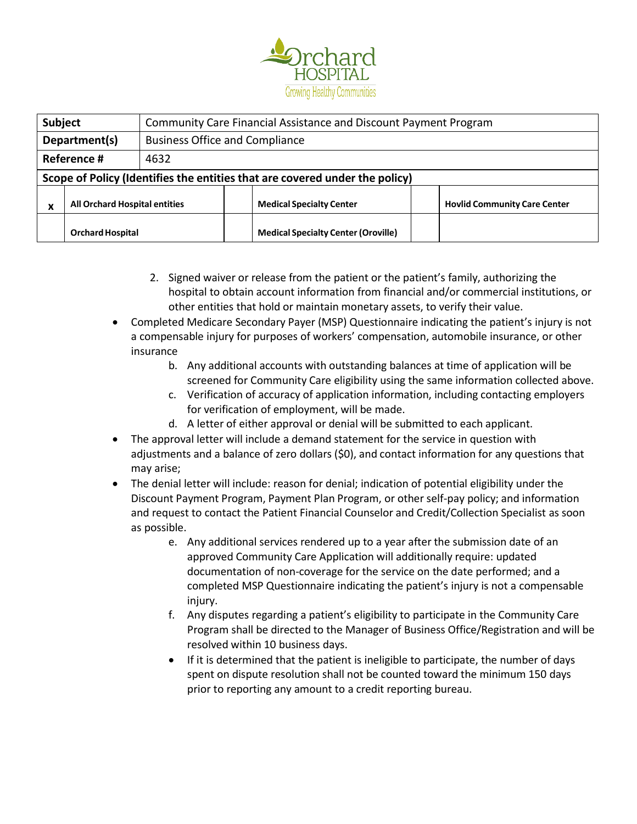

| <b>Subject</b>                            |                                                        | Community Care Financial Assistance and Discount Payment Program |  |                                                                             |  |                                     |
|-------------------------------------------|--------------------------------------------------------|------------------------------------------------------------------|--|-----------------------------------------------------------------------------|--|-------------------------------------|
|                                           | <b>Business Office and Compliance</b><br>Department(s) |                                                                  |  |                                                                             |  |                                     |
|                                           | Reference #<br>4632                                    |                                                                  |  |                                                                             |  |                                     |
|                                           |                                                        |                                                                  |  | Scope of Policy (Identifies the entities that are covered under the policy) |  |                                     |
| <b>All Orchard Hospital entities</b><br>v |                                                        |                                                                  |  | <b>Medical Specialty Center</b>                                             |  | <b>Hovlid Community Care Center</b> |
|                                           | <b>Orchard Hospital</b>                                |                                                                  |  | <b>Medical Specialty Center (Oroville)</b>                                  |  |                                     |

- 2. Signed waiver or release from the patient or the patient's family, authorizing the hospital to obtain account information from financial and/or commercial institutions, or other entities that hold or maintain monetary assets, to verify their value.
- Completed Medicare Secondary Payer (MSP) Questionnaire indicating the patient's injury is not a compensable injury for purposes of workers' compensation, automobile insurance, or other insurance
	- b. Any additional accounts with outstanding balances at time of application will be screened for Community Care eligibility using the same information collected above.
	- c. Verification of accuracy of application information, including contacting employers for verification of employment, will be made.
	- d. A letter of either approval or denial will be submitted to each applicant.
- The approval letter will include a demand statement for the service in question with adjustments and a balance of zero dollars (\$0), and contact information for any questions that may arise;
- The denial letter will include: reason for denial; indication of potential eligibility under the Discount Payment Program, Payment Plan Program, or other self-pay policy; and information and request to contact the Patient Financial Counselor and Credit/Collection Specialist as soon as possible.
	- e. Any additional services rendered up to a year after the submission date of an approved Community Care Application will additionally require: updated documentation of non-coverage for the service on the date performed; and a completed MSP Questionnaire indicating the patient's injury is not a compensable injury.
	- f. Any disputes regarding a patient's eligibility to participate in the Community Care Program shall be directed to the Manager of Business Office/Registration and will be resolved within 10 business days.
	- If it is determined that the patient is ineligible to participate, the number of days spent on dispute resolution shall not be counted toward the minimum 150 days prior to reporting any amount to a credit reporting bureau.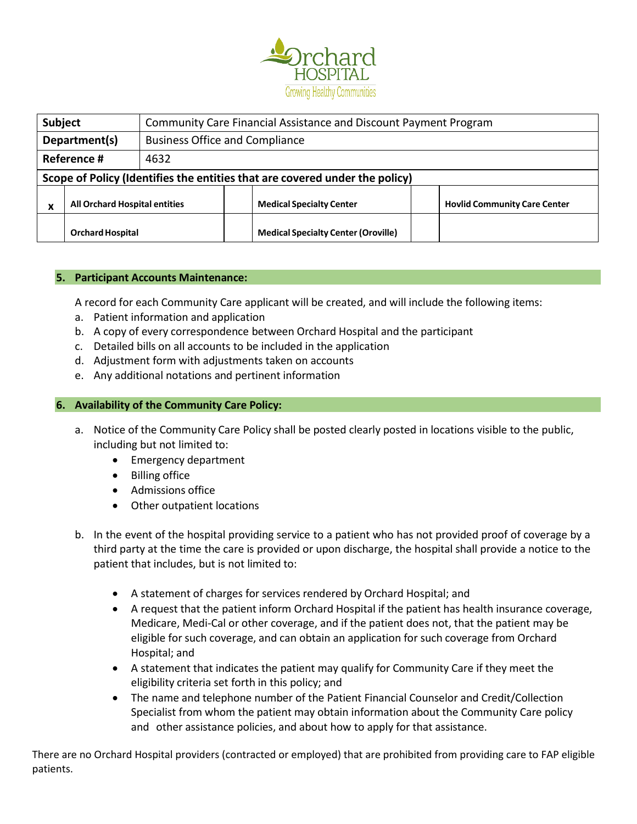

| <b>Subject</b>                                       |                                                        | Community Care Financial Assistance and Discount Payment Program |  |                                                                             |  |                                     |
|------------------------------------------------------|--------------------------------------------------------|------------------------------------------------------------------|--|-----------------------------------------------------------------------------|--|-------------------------------------|
|                                                      | <b>Business Office and Compliance</b><br>Department(s) |                                                                  |  |                                                                             |  |                                     |
|                                                      | Reference #                                            | 4632                                                             |  |                                                                             |  |                                     |
|                                                      |                                                        |                                                                  |  | Scope of Policy (Identifies the entities that are covered under the policy) |  |                                     |
| <b>All Orchard Hospital entities</b><br>$\mathbf{v}$ |                                                        |                                                                  |  | <b>Medical Specialty Center</b>                                             |  | <b>Hovlid Community Care Center</b> |
|                                                      | <b>Orchard Hospital</b>                                |                                                                  |  | <b>Medical Specialty Center (Oroville)</b>                                  |  |                                     |

### **5. Participant Accounts Maintenance:**

A record for each Community Care applicant will be created, and will include the following items:

- a. Patient information and application
- b. A copy of every correspondence between Orchard Hospital and the participant
- c. Detailed bills on all accounts to be included in the application
- d. Adjustment form with adjustments taken on accounts
- e. Any additional notations and pertinent information

### **6. Availability of the Community Care Policy:**

- a. Notice of the Community Care Policy shall be posted clearly posted in locations visible to the public, including but not limited to:
	- Emergency department
	- Billing office
	- Admissions office
	- Other outpatient locations
- b. In the event of the hospital providing service to a patient who has not provided proof of coverage by a third party at the time the care is provided or upon discharge, the hospital shall provide a notice to the patient that includes, but is not limited to:
	- A statement of charges for services rendered by Orchard Hospital; and
	- A request that the patient inform Orchard Hospital if the patient has health insurance coverage, Medicare, Medi-Cal or other coverage, and if the patient does not, that the patient may be eligible for such coverage, and can obtain an application for such coverage from Orchard Hospital; and
	- A statement that indicates the patient may qualify for Community Care if they meet the eligibility criteria set forth in this policy; and
	- The name and telephone number of the Patient Financial Counselor and Credit/Collection Specialist from whom the patient may obtain information about the Community Care policy and other assistance policies, and about how to apply for that assistance.

There are no Orchard Hospital providers (contracted or employed) that are prohibited from providing care to FAP eligible patients.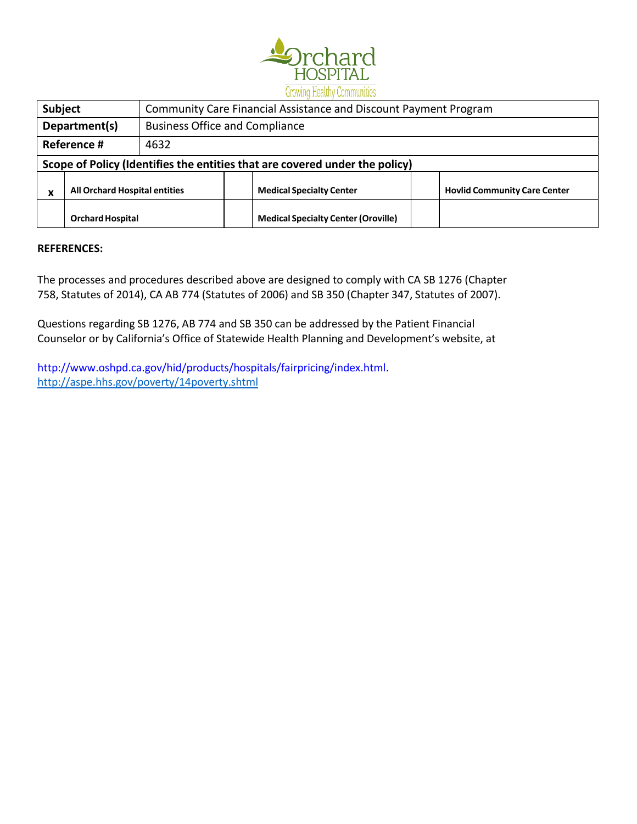

|                                                        | <b>WAS VILLAGED A AVAILABLE VIDEO ALEGALIAN DE LA VALUE</b>                 |  |                                 |                                                                             |                                     |  |
|--------------------------------------------------------|-----------------------------------------------------------------------------|--|---------------------------------|-----------------------------------------------------------------------------|-------------------------------------|--|
|                                                        | Subject<br>Community Care Financial Assistance and Discount Payment Program |  |                                 |                                                                             |                                     |  |
| <b>Business Office and Compliance</b><br>Department(s) |                                                                             |  |                                 |                                                                             |                                     |  |
|                                                        | Reference #<br>4632                                                         |  |                                 |                                                                             |                                     |  |
|                                                        |                                                                             |  |                                 | Scope of Policy (Identifies the entities that are covered under the policy) |                                     |  |
| <b>All Orchard Hospital entities</b><br>x              |                                                                             |  | <b>Medical Specialty Center</b> |                                                                             | <b>Hovlid Community Care Center</b> |  |
|                                                        | <b>Orchard Hospital</b>                                                     |  |                                 | <b>Medical Specialty Center (Oroville)</b>                                  |                                     |  |

### **REFERENCES:**

The processes and procedures described above are designed to comply with CA SB 1276 (Chapter 758, Statutes of 2014), CA AB 774 (Statutes of 2006) and SB 350 (Chapter 347, Statutes of 2007).

Questions regarding SB 1276, AB 774 and SB 350 can be addressed by the Patient Financial Counselor or by California's Office of Statewide Health Planning and Development's website, at

[http://www.oshpd.ca.gov/hid/products/hospitals/fairpricing/index.html.](http://www.oshpd.ca.gov/hid/products/hospitals/fairpricing/index.html) <http://aspe.hhs.gov/poverty/14poverty.shtml>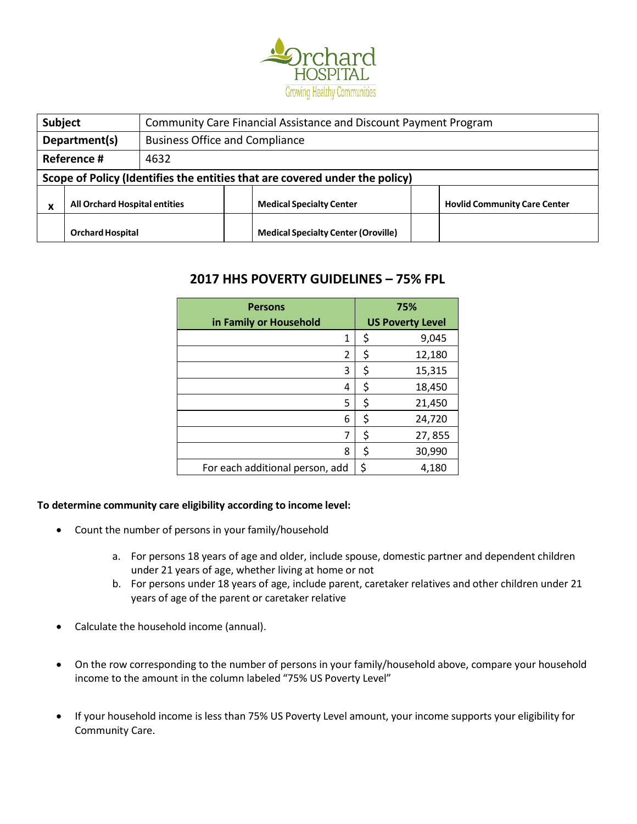

| <b>Subject</b>                                       |                                                        | Community Care Financial Assistance and Discount Payment Program |                                 |                                                                             |                                     |  |
|------------------------------------------------------|--------------------------------------------------------|------------------------------------------------------------------|---------------------------------|-----------------------------------------------------------------------------|-------------------------------------|--|
|                                                      | Department(s)<br><b>Business Office and Compliance</b> |                                                                  |                                 |                                                                             |                                     |  |
|                                                      | Reference #<br>4632                                    |                                                                  |                                 |                                                                             |                                     |  |
|                                                      |                                                        |                                                                  |                                 | Scope of Policy (Identifies the entities that are covered under the policy) |                                     |  |
| <b>All Orchard Hospital entities</b><br>$\mathbf{v}$ |                                                        |                                                                  | <b>Medical Specialty Center</b> |                                                                             | <b>Hovlid Community Care Center</b> |  |
|                                                      | <b>Orchard Hospital</b>                                |                                                                  |                                 | <b>Medical Specialty Center (Oroville)</b>                                  |                                     |  |

# **2017 HHS POVERTY GUIDELINES – 75% FPL**

| <b>Persons</b>                  | 75%                     |
|---------------------------------|-------------------------|
| in Family or Household          | <b>US Poverty Level</b> |
| 1                               | \$<br>9,045             |
| 2                               | \$<br>12,180            |
| 3                               | \$<br>15,315            |
| 4                               | \$<br>18,450            |
| 5                               | \$<br>21,450            |
| 6                               | \$<br>24,720            |
| 7                               | \$<br>27,855            |
| 8                               | \$<br>30,990            |
| For each additional person, add | \$<br>4,180             |

# **To determine community care eligibility according to income level:**

- Count the number of persons in your family/household
	- a. For persons 18 years of age and older, include spouse, domestic partner and dependent children under 21 years of age, whether living at home or not
	- b. For persons under 18 years of age, include parent, caretaker relatives and other children under 21 years of age of the parent or caretaker relative
- Calculate the household income (annual).
- On the row corresponding to the number of persons in your family/household above, compare your household income to the amount in the column labeled "75% US Poverty Level"
- If your household income is less than 75% US Poverty Level amount, your income supports your eligibility for Community Care.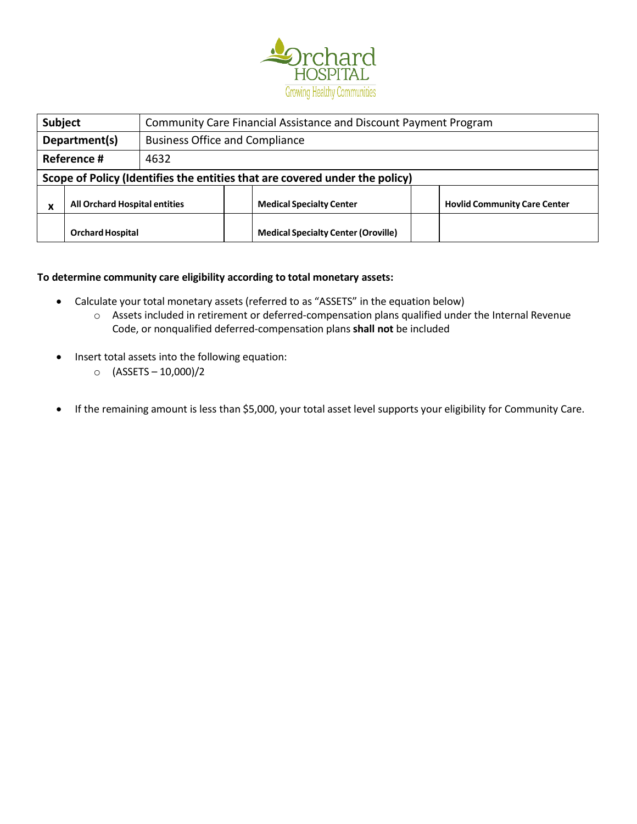

|                                                        | <b>Subject</b><br>Community Care Financial Assistance and Discount Payment Program |  |                                 |                                                                             |                                     |  |
|--------------------------------------------------------|------------------------------------------------------------------------------------|--|---------------------------------|-----------------------------------------------------------------------------|-------------------------------------|--|
| <b>Business Office and Compliance</b><br>Department(s) |                                                                                    |  |                                 |                                                                             |                                     |  |
|                                                        | Reference #<br>4632                                                                |  |                                 |                                                                             |                                     |  |
|                                                        |                                                                                    |  |                                 | Scope of Policy (Identifies the entities that are covered under the policy) |                                     |  |
| <b>All Orchard Hospital entities</b><br>$\mathbf{v}$   |                                                                                    |  | <b>Medical Specialty Center</b> |                                                                             | <b>Hovlid Community Care Center</b> |  |
|                                                        | <b>Orchard Hospital</b>                                                            |  |                                 | <b>Medical Specialty Center (Oroville)</b>                                  |                                     |  |

### **To determine community care eligibility according to total monetary assets:**

- Calculate your total monetary assets (referred to as "ASSETS" in the equation below)
	- o Assets included in retirement or deferred-compensation plans qualified under the Internal Revenue Code, or nonqualified deferred-compensation plans **shall not** be included
- Insert total assets into the following equation:
	- $O (ASSETS 10,000)/2$
- If the remaining amount is less than \$5,000, your total asset level supports your eligibility for Community Care.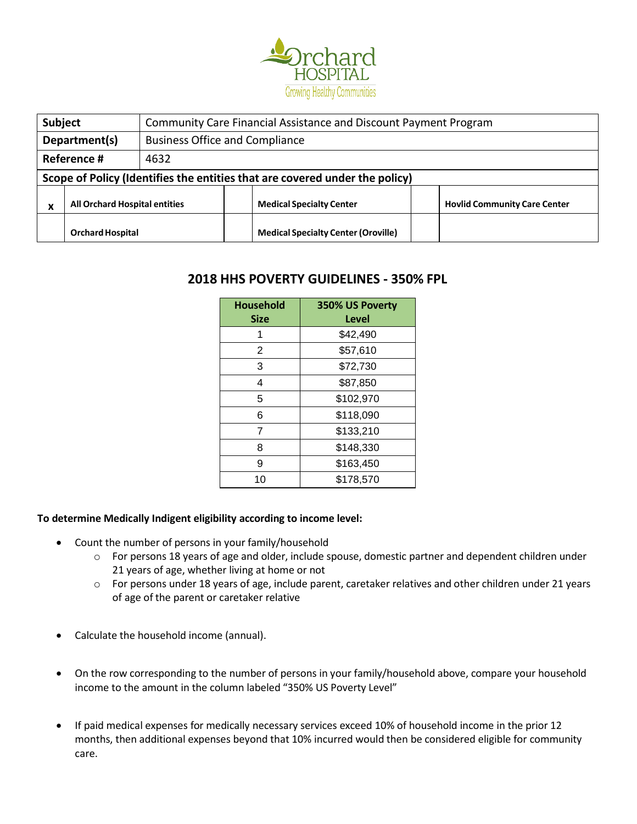

| <b>Subject</b>                                         |                         | Community Care Financial Assistance and Discount Payment Program |                                 |                                                                             |                                     |  |
|--------------------------------------------------------|-------------------------|------------------------------------------------------------------|---------------------------------|-----------------------------------------------------------------------------|-------------------------------------|--|
| Department(s)<br><b>Business Office and Compliance</b> |                         |                                                                  |                                 |                                                                             |                                     |  |
|                                                        | Reference #<br>4632     |                                                                  |                                 |                                                                             |                                     |  |
|                                                        |                         |                                                                  |                                 | Scope of Policy (Identifies the entities that are covered under the policy) |                                     |  |
| <b>All Orchard Hospital entities</b><br>v              |                         |                                                                  | <b>Medical Specialty Center</b> |                                                                             | <b>Hovlid Community Care Center</b> |  |
|                                                        | <b>Orchard Hospital</b> |                                                                  |                                 | <b>Medical Specialty Center (Oroville)</b>                                  |                                     |  |

# **2018 HHS POVERTY GUIDELINES - 350% FPL**

| <b>Household</b><br><b>Size</b> | 350% US Poverty<br>Level |
|---------------------------------|--------------------------|
|                                 | \$42,490                 |
| 2                               | \$57,610                 |
| 3                               | \$72,730                 |
| 4                               | \$87,850                 |
| 5                               | \$102,970                |
| 6                               | \$118,090                |
| 7                               | \$133,210                |
| 8                               | \$148,330                |
| 9                               | \$163,450                |
| 10                              | \$178,570                |

### **To determine Medically Indigent eligibility according to income level:**

- Count the number of persons in your family/household
	- o For persons 18 years of age and older, include spouse, domestic partner and dependent children under 21 years of age, whether living at home or not
	- o For persons under 18 years of age, include parent, caretaker relatives and other children under 21 years of age of the parent or caretaker relative
- Calculate the household income (annual).
- On the row corresponding to the number of persons in your family/household above, compare your household income to the amount in the column labeled "350% US Poverty Level"
- If paid medical expenses for medically necessary services exceed 10% of household income in the prior 12 months, then additional expenses beyond that 10% incurred would then be considered eligible for community care.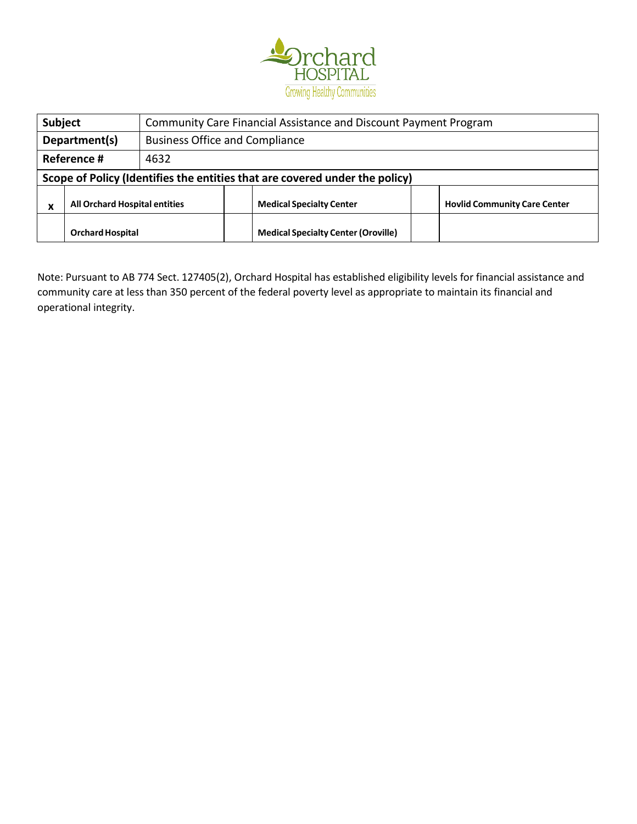

| Subject                                              |                                                                             |  | Community Care Financial Assistance and Discount Payment Program |                                 |  |                                     |  |
|------------------------------------------------------|-----------------------------------------------------------------------------|--|------------------------------------------------------------------|---------------------------------|--|-------------------------------------|--|
| Department(s)                                        |                                                                             |  | <b>Business Office and Compliance</b>                            |                                 |  |                                     |  |
| Reference #<br>4632                                  |                                                                             |  |                                                                  |                                 |  |                                     |  |
|                                                      | Scope of Policy (Identifies the entities that are covered under the policy) |  |                                                                  |                                 |  |                                     |  |
| <b>All Orchard Hospital entities</b><br>$\mathbf{v}$ |                                                                             |  |                                                                  | <b>Medical Specialty Center</b> |  | <b>Hovlid Community Care Center</b> |  |
| <b>Orchard Hospital</b>                              |                                                                             |  | <b>Medical Specialty Center (Oroville)</b>                       |                                 |  |                                     |  |

Note: Pursuant to AB 774 Sect. 127405(2), Orchard Hospital has established eligibility levels for financial assistance and community care at less than 350 percent of the federal poverty level as appropriate to maintain its financial and operational integrity.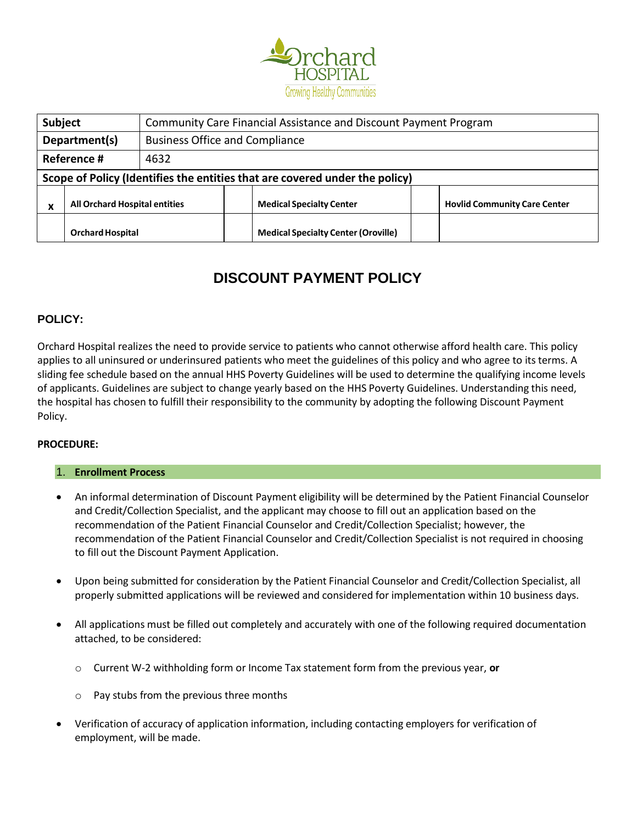

| <b>Subject</b>                                         |                                                                             |      |                                            | Community Care Financial Assistance and Discount Payment Program |  |                                     |  |  |
|--------------------------------------------------------|-----------------------------------------------------------------------------|------|--------------------------------------------|------------------------------------------------------------------|--|-------------------------------------|--|--|
| Department(s)<br><b>Business Office and Compliance</b> |                                                                             |      |                                            |                                                                  |  |                                     |  |  |
|                                                        | Reference #                                                                 | 4632 |                                            |                                                                  |  |                                     |  |  |
|                                                        | Scope of Policy (Identifies the entities that are covered under the policy) |      |                                            |                                                                  |  |                                     |  |  |
| <b>All Orchard Hospital entities</b><br>x              |                                                                             |      |                                            | <b>Medical Specialty Center</b>                                  |  | <b>Hovlid Community Care Center</b> |  |  |
| <b>Orchard Hospital</b>                                |                                                                             |      | <b>Medical Specialty Center (Oroville)</b> |                                                                  |  |                                     |  |  |

# **DISCOUNT PAYMENT POLICY**

# **POLICY:**

Orchard Hospital realizes the need to provide service to patients who cannot otherwise afford health care. This policy applies to all uninsured or underinsured patients who meet the guidelines of this policy and who agree to its terms. A sliding fee schedule based on the annual HHS Poverty Guidelines will be used to determine the qualifying income levels of applicants. Guidelines are subject to change yearly based on the HHS Poverty Guidelines. Understanding this need, the hospital has chosen to fulfill their responsibility to the community by adopting the following Discount Payment Policy.

### **PROCEDURE:**

### 1. **Enrollment Process**

- An informal determination of Discount Payment eligibility will be determined by the Patient Financial Counselor and Credit/Collection Specialist, and the applicant may choose to fill out an application based on the recommendation of the Patient Financial Counselor and Credit/Collection Specialist; however, the recommendation of the Patient Financial Counselor and Credit/Collection Specialist is not required in choosing to fill out the Discount Payment Application.
- Upon being submitted for consideration by the Patient Financial Counselor and Credit/Collection Specialist, all properly submitted applications will be reviewed and considered for implementation within 10 business days.
- All applications must be filled out completely and accurately with one of the following required documentation attached, to be considered:
	- o Current W-2 withholding form or Income Tax statement form from the previous year, **or**
	- o Pay stubs from the previous three months
- Verification of accuracy of application information, including contacting employers for verification of employment, will be made.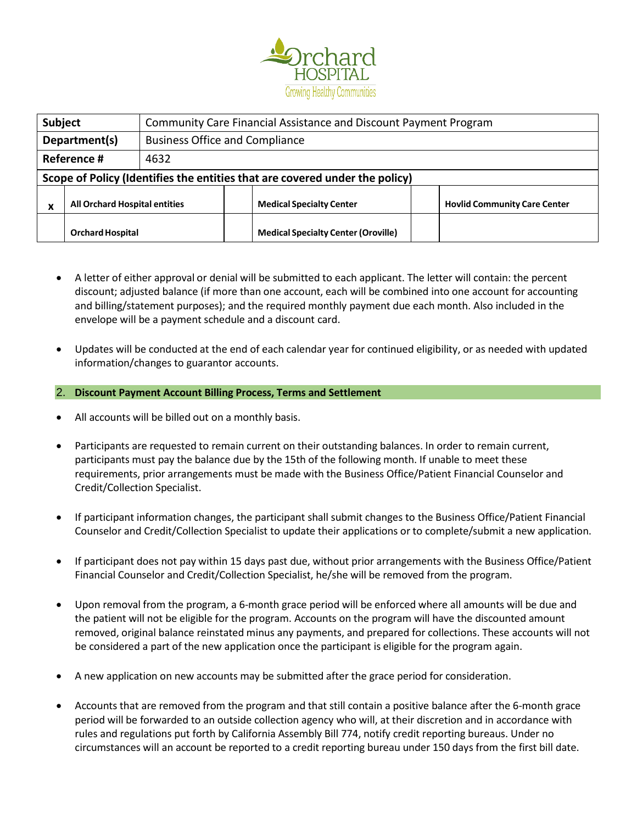

| <b>Subject</b>                                       |                                                                             |  |                                            | Community Care Financial Assistance and Discount Payment Program |  |                                     |  |  |
|------------------------------------------------------|-----------------------------------------------------------------------------|--|--------------------------------------------|------------------------------------------------------------------|--|-------------------------------------|--|--|
| Department(s)                                        |                                                                             |  | <b>Business Office and Compliance</b>      |                                                                  |  |                                     |  |  |
| Reference #<br>4632                                  |                                                                             |  |                                            |                                                                  |  |                                     |  |  |
|                                                      | Scope of Policy (Identifies the entities that are covered under the policy) |  |                                            |                                                                  |  |                                     |  |  |
| <b>All Orchard Hospital entities</b><br>$\mathbf{v}$ |                                                                             |  |                                            | <b>Medical Specialty Center</b>                                  |  | <b>Hovlid Community Care Center</b> |  |  |
| <b>Orchard Hospital</b>                              |                                                                             |  | <b>Medical Specialty Center (Oroville)</b> |                                                                  |  |                                     |  |  |

- A letter of either approval or denial will be submitted to each applicant. The letter will contain: the percent discount; adjusted balance (if more than one account, each will be combined into one account for accounting and billing/statement purposes); and the required monthly payment due each month. Also included in the envelope will be a payment schedule and a discount card.
- Updates will be conducted at the end of each calendar year for continued eligibility, or as needed with updated information/changes to guarantor accounts.
- 2. **Discount Payment Account Billing Process, Terms and Settlement**
- All accounts will be billed out on a monthly basis.
- Participants are requested to remain current on their outstanding balances. In order to remain current, participants must pay the balance due by the 15th of the following month. If unable to meet these requirements, prior arrangements must be made with the Business Office/Patient Financial Counselor and Credit/Collection Specialist.
- If participant information changes, the participant shall submit changes to the Business Office/Patient Financial Counselor and Credit/Collection Specialist to update their applications or to complete/submit a new application.
- If participant does not pay within 15 days past due, without prior arrangements with the Business Office/Patient Financial Counselor and Credit/Collection Specialist, he/she will be removed from the program.
- Upon removal from the program, a 6-month grace period will be enforced where all amounts will be due and the patient will not be eligible for the program. Accounts on the program will have the discounted amount removed, original balance reinstated minus any payments, and prepared for collections. These accounts will not be considered a part of the new application once the participant is eligible for the program again.
- A new application on new accounts may be submitted after the grace period for consideration.
- Accounts that are removed from the program and that still contain a positive balance after the 6-month grace period will be forwarded to an outside collection agency who will, at their discretion and in accordance with rules and regulations put forth by California Assembly Bill 774, notify credit reporting bureaus. Under no circumstances will an account be reported to a credit reporting bureau under 150 days from the first bill date.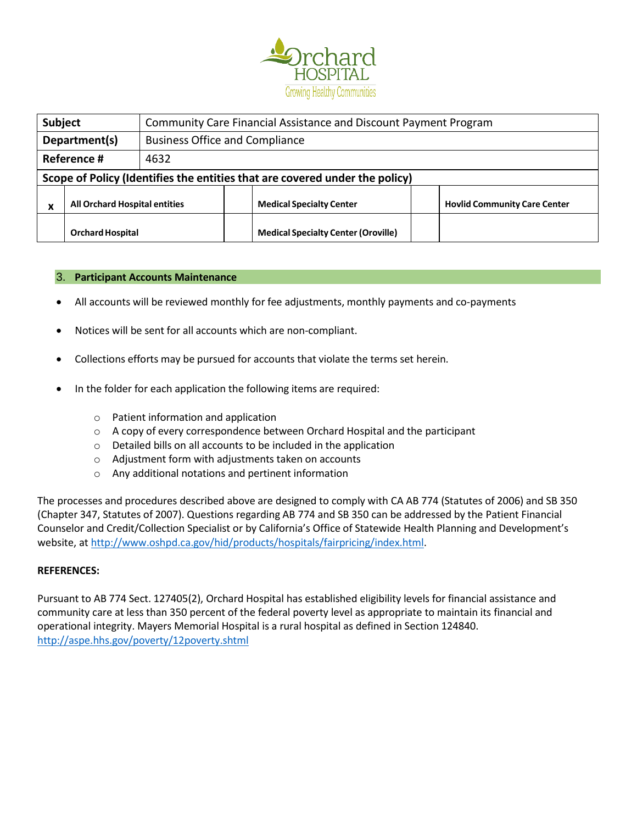

| <b>Subject</b>                            |                                                                             |  |                                            | Community Care Financial Assistance and Discount Payment Program |  |                                     |  |  |
|-------------------------------------------|-----------------------------------------------------------------------------|--|--------------------------------------------|------------------------------------------------------------------|--|-------------------------------------|--|--|
| Department(s)                             |                                                                             |  | <b>Business Office and Compliance</b>      |                                                                  |  |                                     |  |  |
| Reference #<br>4632                       |                                                                             |  |                                            |                                                                  |  |                                     |  |  |
|                                           | Scope of Policy (Identifies the entities that are covered under the policy) |  |                                            |                                                                  |  |                                     |  |  |
| <b>All Orchard Hospital entities</b><br>v |                                                                             |  |                                            | <b>Medical Specialty Center</b>                                  |  | <b>Hovlid Community Care Center</b> |  |  |
| <b>Orchard Hospital</b>                   |                                                                             |  | <b>Medical Specialty Center (Oroville)</b> |                                                                  |  |                                     |  |  |

#### 3. **Participant Accounts Maintenance**

- All accounts will be reviewed monthly for fee adjustments, monthly payments and co-payments
- Notices will be sent for all accounts which are non-compliant.
- Collections efforts may be pursued for accounts that violate the terms set herein.
- In the folder for each application the following items are required:
	- o Patient information and application
	- o A copy of every correspondence between Orchard Hospital and the participant
	- o Detailed bills on all accounts to be included in the application
	- o Adjustment form with adjustments taken on accounts
	- o Any additional notations and pertinent information

The processes and procedures described above are designed to comply with CA AB 774 (Statutes of 2006) and SB 350 (Chapter 347, Statutes of 2007). Questions regarding AB 774 and SB 350 can be addressed by the Patient Financial Counselor and Credit/Collection Specialist or by California's Office of Statewide Health Planning and Development's website, at [http://www.oshpd.ca.gov/hid/products/hospitals/fairpricing/index.html.](http://www.oshpd.ca.gov/hid/products/hospitals/fairpricing/index.html)

#### **REFERENCES:**

Pursuant to AB 774 Sect. 127405(2), Orchard Hospital has established eligibility levels for financial assistance and community care at less than 350 percent of the federal poverty level as appropriate to maintain its financial and operational integrity. Mayers Memorial Hospital is a rural hospital as defined in Section 124840. <http://aspe.hhs.gov/poverty/12poverty.shtml>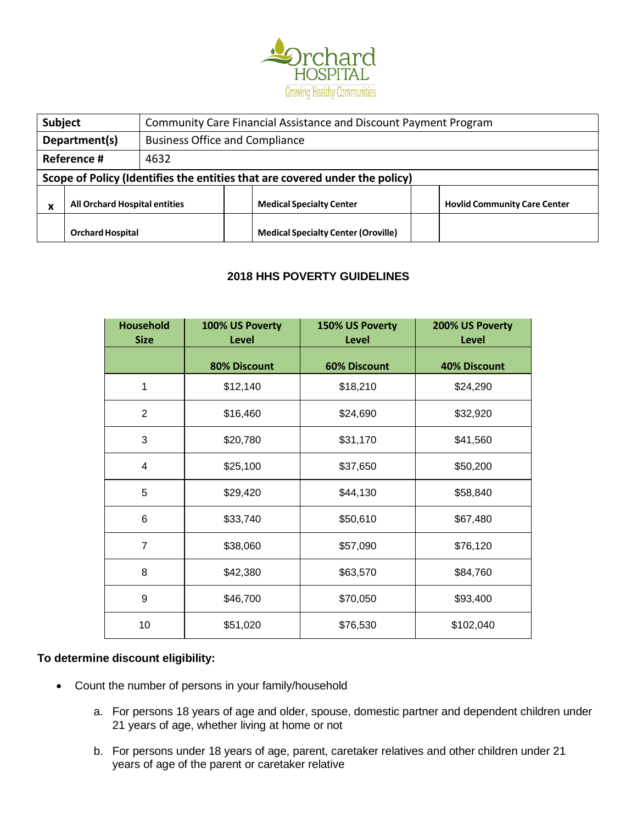

| Subject                                              |                                                                             |  |                                            | Community Care Financial Assistance and Discount Payment Program |  |                                     |  |
|------------------------------------------------------|-----------------------------------------------------------------------------|--|--------------------------------------------|------------------------------------------------------------------|--|-------------------------------------|--|
| Department(s)                                        |                                                                             |  | <b>Business Office and Compliance</b>      |                                                                  |  |                                     |  |
| Reference #<br>4632                                  |                                                                             |  |                                            |                                                                  |  |                                     |  |
|                                                      | Scope of Policy (Identifies the entities that are covered under the policy) |  |                                            |                                                                  |  |                                     |  |
| <b>All Orchard Hospital entities</b><br>$\mathbf{v}$ |                                                                             |  |                                            | <b>Medical Specialty Center</b>                                  |  | <b>Hovlid Community Care Center</b> |  |
| <b>Orchard Hospital</b>                              |                                                                             |  | <b>Medical Specialty Center (Oroville)</b> |                                                                  |  |                                     |  |

# **2018 HHS POVERTY GUIDELINES**

| <b>Household</b><br><b>Size</b> | 100% US Poverty<br><b>Level</b> | 150% US Poverty<br><b>Level</b> | 200% US Poverty<br><b>Level</b> |
|---------------------------------|---------------------------------|---------------------------------|---------------------------------|
|                                 | 80% Discount                    | <b>60% Discount</b>             | <b>40% Discount</b>             |
| 1                               | \$12,140                        | \$18,210                        | \$24,290                        |
| $\overline{2}$                  | \$16,460                        | \$24,690                        | \$32,920                        |
| 3                               | \$20,780                        | \$31,170                        | \$41,560                        |
| 4                               | \$25,100                        | \$37,650                        | \$50,200                        |
| 5                               | \$29,420                        | \$44,130                        | \$58,840                        |
| 6                               | \$33,740                        | \$50,610                        | \$67,480                        |
| $\overline{7}$                  | \$38,060                        | \$57,090                        | \$76,120                        |
| 8                               | \$42,380                        | \$63,570                        | \$84,760                        |
| 9                               | \$46,700                        | \$70,050                        | \$93,400                        |
| 10                              | \$51,020                        | \$76,530                        | \$102,040                       |

# **To determine discount eligibility:**

- Count the number of persons in your family/household
	- a. For persons 18 years of age and older, spouse, domestic partner and dependent children under 21 years of age, whether living at home or not
	- b. For persons under 18 years of age, parent, caretaker relatives and other children under 21 years of age of the parent or caretaker relative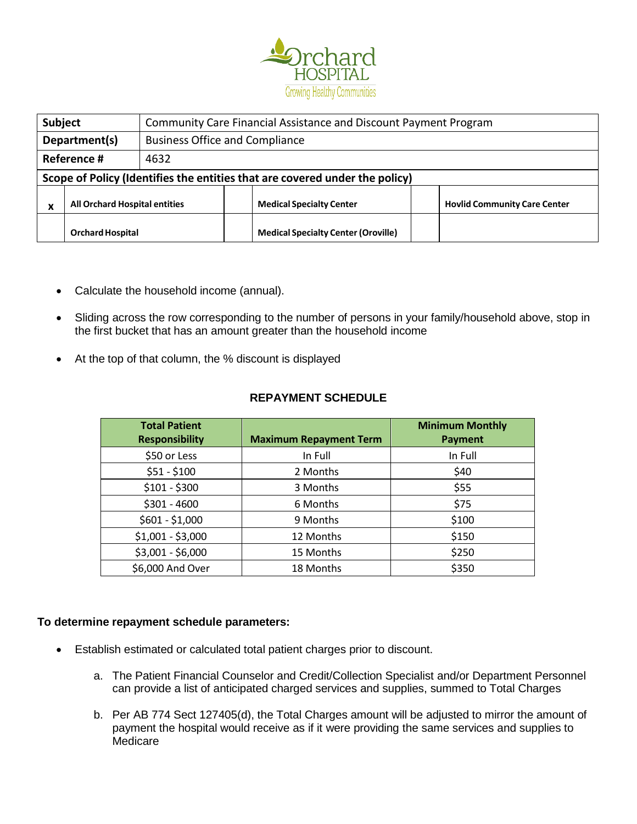

| <b>Subject</b>                            |                                                                             |  | Community Care Financial Assistance and Discount Payment Program |                                 |  |                                     |  |
|-------------------------------------------|-----------------------------------------------------------------------------|--|------------------------------------------------------------------|---------------------------------|--|-------------------------------------|--|
| Department(s)                             |                                                                             |  | <b>Business Office and Compliance</b>                            |                                 |  |                                     |  |
| Reference #<br>4632                       |                                                                             |  |                                                                  |                                 |  |                                     |  |
|                                           | Scope of Policy (Identifies the entities that are covered under the policy) |  |                                                                  |                                 |  |                                     |  |
| <b>All Orchard Hospital entities</b><br>v |                                                                             |  |                                                                  | <b>Medical Specialty Center</b> |  | <b>Hovlid Community Care Center</b> |  |
| <b>Orchard Hospital</b>                   |                                                                             |  | <b>Medical Specialty Center (Oroville)</b>                       |                                 |  |                                     |  |

- Calculate the household income (annual).
- Sliding across the row corresponding to the number of persons in your family/household above, stop in the first bucket that has an amount greater than the household income
- At the top of that column, the % discount is displayed

# **REPAYMENT SCHEDULE**

| <b>Total Patient</b><br><b>Responsibility</b> | <b>Maximum Repayment Term</b> | <b>Minimum Monthly</b><br><b>Payment</b> |
|-----------------------------------------------|-------------------------------|------------------------------------------|
| \$50 or Less                                  | In Full                       | In Full                                  |
| $$51 - $100$                                  | 2 Months                      | \$40                                     |
| $$101 - $300$                                 | 3 Months                      | \$55                                     |
| $$301 - 4600$                                 | 6 Months                      | \$75                                     |
| $$601 - $1,000$                               | 9 Months                      | \$100                                    |
| $$1,001 - $3,000$                             | 12 Months                     | \$150                                    |
| \$3,001 - \$6,000                             | 15 Months                     | \$250                                    |
| \$6,000 And Over                              | 18 Months                     | \$350                                    |

# **To determine repayment schedule parameters:**

- Establish estimated or calculated total patient charges prior to discount.
	- a. The Patient Financial Counselor and Credit/Collection Specialist and/or Department Personnel can provide a list of anticipated charged services and supplies, summed to Total Charges
	- b. Per AB 774 Sect 127405(d), the Total Charges amount will be adjusted to mirror the amount of payment the hospital would receive as if it were providing the same services and supplies to **Medicare**